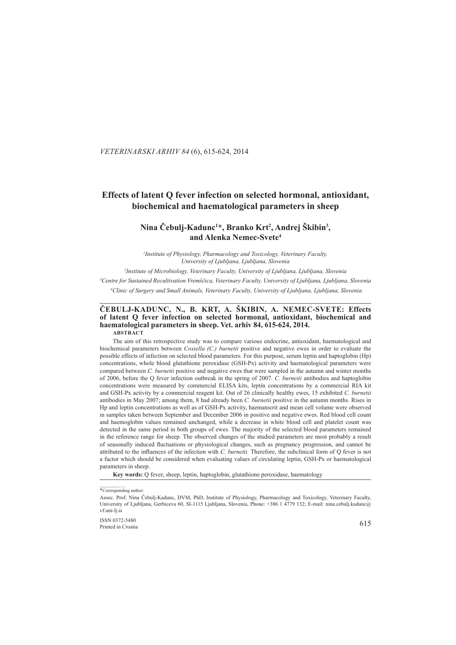### . *VETERINARSKI ARHIV 84* (6), 615-624, 2014

# **Effects of latent Q fever infection on selected hormonal, antioxidant, biochemical and haematological parameters in sheep iochemical**

## $\bf{Nina}$  Čebulj-Kadunc<sup>1\*</sup>, Branko Krt<sup>2</sup>, Andrej Škibin<sup>3</sup>, **and Alenka Nemec-Svete lenka Nemec-Svete4**

<sup>1</sup> Institute of Physiology, Pharmacology and Toxicology, Veterinary Faculty, *University of Ljubljana, Ljubljana, Slovenia niversity* 

*2 Institute of Microbiology, Veterinary Faculty, University of Ljubljana, Ljubljana, Slovenia nstitute*  <sup>3</sup> Centre for Sustained Recultivation Vremščica, Veterinary Faculty, University of Ljubljana, Ljubljana, Slovenia  *4 Clinic of Surgery and Small Animals, Veterinary Faculty, University of Ljubljana, Ljubljana, Slovenia linic* 

**\_\_\_\_\_\_\_\_\_\_\_\_\_\_\_\_\_\_\_\_\_\_\_\_\_\_\_\_\_\_\_\_\_\_\_\_\_\_\_\_\_\_\_\_\_\_\_\_\_\_\_\_\_\_\_\_\_\_\_\_\_\_\_ \_\_\_\_\_\_\_\_\_\_\_\_\_\_\_\_\_\_\_\_\_\_\_\_\_\_\_\_\_\_\_\_\_\_\_\_\_\_\_\_\_\_\_\_\_\_\_\_\_\_\_\_\_\_\_\_\_\_\_\_\_\_\_\_\_\_\_\_\_\_\_\_\_\_\_\_\_\_\_\_\_\_\_\_\_\_\_ \_\_\_\_\_\_\_\_\_\_\_\_\_\_\_\_\_\_\_\_\_\_\_\_\_**

## ČEBULJ-KADUNC, N., B. KRT, A. ŠKIBIN, A. NEMEC-SVETE: Effects of latent O fever infection on selected hormonal, antioxidant, biochemical and haematological parameters in sheep. Vet. arhiv 84, 615-624, 2014. **ABSTRACT BSTRACT**

The aim of this retrospective study was to compare various endocrine, antioxidant, haematological and biochemical parameters between *Coxiella (C.) burnetii* positive and negative ewes in order to evaluate the possible effects of infection on selected blood parameters. For this purpose, serum leptin and haptoglobin (Hp) concentrations, whole blood glutathione peroxidase (GSH-Px) activity and haematological parameters were compared between *C. burnetii* positive and negative ewes that were sampled in the autumn and winter months of 2006, before the Q fever infection outbreak in the spring of 2007. *C. burnetii* antibodies and haptoglobin concentrations were measured by commercial ELISA kits, leptin concentrations by a commercial RIA kit and GSH-Px activity by a commercial reagent kit. Out of 26 clinically healthy ewes, 15 exhibited *C. burnetii* antibodies in May 2007; among them, 8 had already been *C. burnetii* positive in the autumn months. Rises in Hp and leptin concentrations as well as of GSH-Px activity, haematocrit and mean cell volume were observed in samples taken between September and December 2006 in positive and negative ewes. Red blood cell count and haemoglobin values remained unchanged, while a decrease in white blood cell and platelet count was detected in the same period in both groups of ewes. The majority of the selected blood parameters remained in the reference range for sheep. The observed changes of the studied parameters are most probably a result of seasonally induced fluctuations or physiological changes, such as pregnancy progression, and cannot be attributed to the influences of the infection with C. burnetii. Therefore, the subclinical form of O fever is not a factor which should be considered when evaluating values of circulating leptin, GSH-Px or haematological parameters in sheep.

Key words: Q fever, sheep, leptin, haptoglobin, glutathione peroxidase, haematology

 $\frac{1}{8}$  ISSN 0372-5480 615  $\frac{615}{615}$ Printed in Croatia

<sup>\*</sup>Corresponding author:

Assoc. Prof. Nina Čebulj-Kadunc, DVM, PhD, Institute of Physiology, Pharmacology and Toxicology, Veterinary Faculty, University of Ljubljana, Gerbiceva 60, SI-1115 Ljubljana, Slovenia, Phone: +386 1 4779 132; E-mail: nina.cebulj.kadunc@ vf.uni-li.si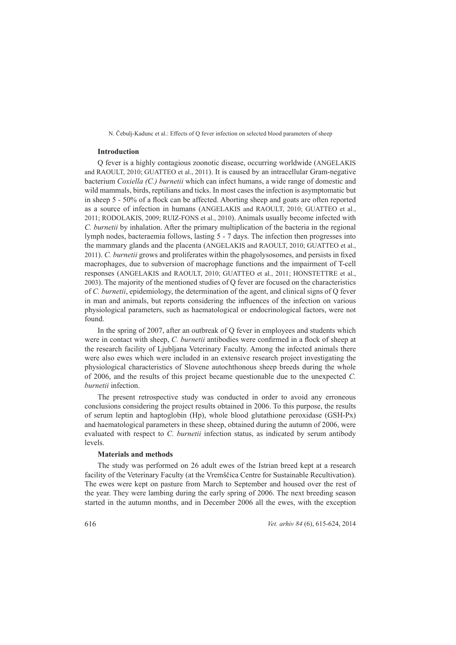## **Introduction ntroduction**

Q fever is a highly contagious zoonotic disease, occurring worldwide (ANGELAKIS and RAOULT, 2010; GUATTEO et al., 2011). It is caused by an intracellular Gram-negative bacterium *Coxiella (C.) burnetii* which can infect humans, a wide range of domestic and wild mammals, birds, reptilians and ticks. In most cases the infection is asymptomatic but in sheep  $5 - 50\%$  of a flock can be affected. Aborting sheep and goats are often reported as a source of infection in humans (ANGELAKIS and RAOULT, 2010; GUATTEO et al., 2011; RODOLAKIS, 2009; RUIZ-FONS et al., 2010). Animals usually become infected with *C. burnetii* by inhalation. After the primary multiplication of the bacteria in the regional lymph nodes, bacteraemia follows, lasting 5 - 7 days. The infection then progresses into the mammary glands and the placenta (ANGELAKIS and RAOULT, 2010; GUATTEO et al., 2011). *C. burnetii* grows and proliferates within the phagolysosomes, and persists in fixed macrophages, due to subversion of macrophage functions and the impairment of T-cell responses (ANGELAKIS and RAOULT, 2010; GUATTEO et al., 2011; HONSTETTRE et al., 2003). The majority of the mentioned studies of Q fever are focused on the characteristics of *C. burnetii*, epidemiology, the determination of the agent, and clinical signs of Q fever in man and animals, but reports considering the influences of the infection on various physiological parameters, such as haematological or endocrinological factors, were not found.

In the spring of  $2007$ , after an outbreak of Q fever in employees and students which were in contact with sheep, C. burnetii antibodies were confirmed in a flock of sheep at the research facility of Ljubljana Veterinary Faculty. Among the infected animals there were also ewes which were included in an extensive research project investigating the physiological characteristics of Slovene autochthonous sheep breeds during the whole of 2006, and the results of this project became questionable due to the unexpected *C*. *burnetii* infection.

The present retrospective study was conducted in order to avoid any erroneous conclusions considering the project results obtained in 2006. To this purpose, the results of serum leptin and haptoglobin (Hp), whole blood glutathione peroxidase (GSH-Px) and haematological parameters in these sheep, obtained during the autumn of 2006, were evaluated with respect to C. *burnetii* infection status, as indicated by serum antibody levels.

## **Materials and methods aterials**

The study was performed on 26 adult ewes of the Istrian breed kept at a research facility of the Veterinary Faculty (at the Vremščica Centre for Sustainable Recultivation). The ewes were kept on pasture from March to September and housed over the rest of the year. They were lambing during the early spring of 2006. The next breeding season started in the autumn months, and in December 2006 all the ewes, with the exception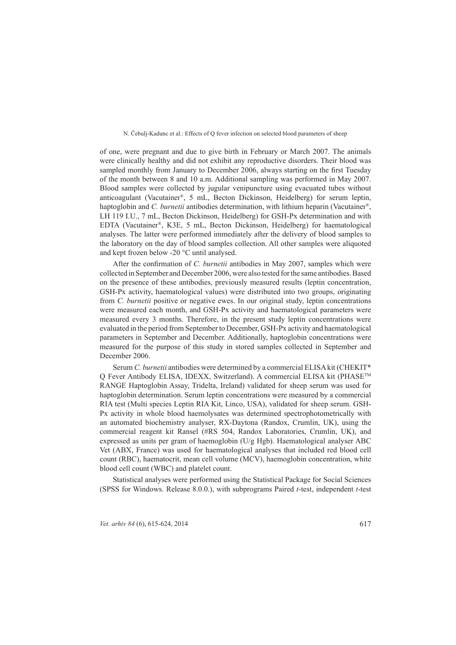of one, were pregnant and due to give birth in February or March 2007. The animals were clinically healthy and did not exhibit any reproductive disorders. Their blood was sampled monthly from January to December 2006, always starting on the first Tuesday of the month between 8 and 10 a.m. Additional sampling was performed in May 2007. Blood samples were collected by jugular venipuncture using evacuated tubes without anticoagulant (Vacutainer®, 5 mL, Becton Dickinson, Heidelberg) for serum leptin, haptoglobin and C. *burnetii* antibodies determination, with lithium heparin (Vacutainer<sup>®</sup>, LH 119 I.U., 7 mL, Becton Dickinson, Heidelberg) for GSH-Px determination and with EDTA (Vacutainer®, K3E, 5 mL, Becton Dickinson, Heidelberg) for haematological analyses. The latter were performed immediately after the delivery of blood samples to the laboratory on the day of blood samples collection. All other samples were aliquoted and kept frozen below -20  $^{\circ}$ C until analysed.

After the confirmation of *C. burnetii* antibodies in May 2007, samples which were collected in September and December 2006, were also tested for the same antibodies. Based on the presence of these antibodies, previously measured results (leptin concentration, GSH-Px activity, haematological values) were distributed into two groups, originating from *C. burnetii* positive or negative ewes. In our original study, leptin concentrations were measured each month, and GSH-Px activity and haematological parameters were measured every 3 months. Therefore, in the present study leptin concentrations were evaluated in the period from September to December, GSH-Px activity and haematological parameters in September and December. Additionally, haptoglobin concentrations were measured for the purpose of this study in stored samples collected in September and December 2006.

Serum *C. burnetii* antibodies were determined by a commercial ELISA kit (CHEKIT<sup>\*</sup> Q Fever Antibody ELISA, IDEXX, Switzerland). A commercial ELISA kit (PHASE™ RANGE Haptoglobin Assay, Tridelta, Ireland) validated for sheep serum was used for haptoglobin determination. Serum leptin concentrations were measured by a commercial RIA test (Multi species Leptin RIA Kit, Linco, USA), validated for sheep serum. GSH-Px activity in whole blood haemolysates was determined spectrophotometrically with an automated biochemistry analyser, RX-Daytona (Randox, Crumlin, UK), using the commercial reagent kit Ransel (#RS 504, Randox Laboratories, Crumlin, UK), and expressed as units per gram of haemoglobin ( $U/g$  Hgb). Haematological analyser ABC Vet (ABX, France) was used for haematological analyses that included red blood cell count (RBC), haematocrit, mean cell volume (MCV), haemoglobin concentration, white blood cell count (WBC) and platelet count.

Statistical analyses were performed using the Statistical Package for Social Sciences (SPSS for Windows. Release 8.0.0.), with subprograms Paired  $t$ -test, independent  $t$ -test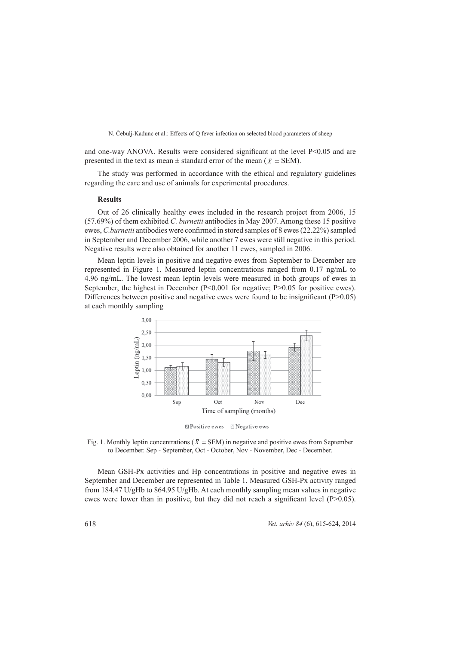and one-way ANOVA. Results were considered significant at the level  $P<0.05$  and are presented in the text as mean  $\pm$  standard error of the mean ( $\bar{x} \pm$  SEM).

The study was performed in accordance with the ethical and regulatory guidelines regarding the care and use of animals for experimental procedures.

#### **Results**

Out of 26 clinically healthy ewes included in the research project from  $2006$ , 15 (57.69%) of them exhibited *C. burnetii* antibodies in May 2007. Among these 15 positive ewes, *C.burnetii* antibodies were confirmed in stored samples of 8 ewes (22.22%) sampled in September and December 2006, while another 7 ewes were still negative in this period. Negative results were also obtained for another 11 ewes, sampled in 2006.

Mean leptin levels in positive and negative ewes from September to December are represented in Figure 1. Measured leptin concentrations ranged from 0.17 ng/mL to 4.96 ng/mL. The lowest mean leptin levels were measured in both groups of ewes in September, the highest in December ( $P<0.001$  for negative;  $P>0.05$  for positive ewes). Differences between positive and negative ewes were found to be insignificant ( $P>0.05$ ) at each monthly sampling t



**El Positive ewes El Negative ews** 

Fig. 1. Monthly leptin concentrations ( $\overline{X}$   $\pm$  SEM) in negative and positive ewes from September to December. Sep - September, Oct - October, Nov - November, Dec - December.

Mean GSH-Px activities and Hp concentrations in positive and negative ewes in September and December are represented in Table 1. Measured GSH-Px activity ranged from  $184.47$  U/gHb to  $864.95$  U/gHb. At each monthly sampling mean values in negative ewes were lower than in positive, but they did not reach a significant level ( $P>0.05$ ).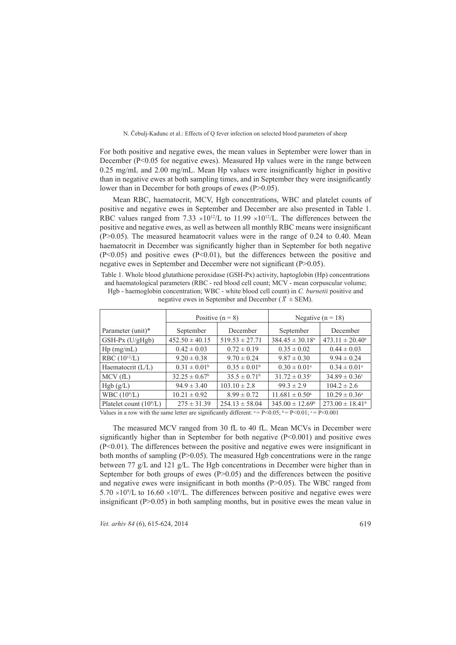For both positive and negative ewes, the mean values in September were lower than in December ( $P<0.05$  for negative ewes). Measured Hp values were in the range between  $0.25$  mg/mL and  $2.00$  mg/mL. Mean Hp values were insignificantly higher in positive than in negative ewes at both sampling times, and in September they were insignificantly lower than in December for both groups of ewes  $(P>0.05)$ .

Mean RBC, haematocrit, MCV, Hgb concentrations, WBC and platelet counts of positive and negative ewes in September and December are also presented in Table 1. RBC values ranged from 7.33  $\times 10^{12}$ /L to 11.99  $\times 10^{12}$ /L. The differences between the positive and negative ewes, as well as between all monthly RBC means were insignificant  $(P>0.05)$ . The measured heamatocrit values were in the range of 0.24 to 0.40. Mean haematocrit in December was significantly higher than in September for both negative  $(P<0.05)$  and positive ewes  $(P<0.01)$ , but the differences between the positive and negative ewes in September and December were not significant ( $P > 0.05$ ).

Table 1. Whole blood glutathione peroxidase (GSH-Px) activity, haptoglobin (Hp) concentrations and haematological parameters (RBC - red blood cell count; MCV - mean corpuscular volume; Hgb - haemoglobin concentration; WBC - white blood cell count) in *C. burnetii* positive and

|                          | Positive $(n = 8)$       |                         | Negative $(n = 18)$           |                          |
|--------------------------|--------------------------|-------------------------|-------------------------------|--------------------------|
| Parameter (unit)*        | September                | December                | September                     | December                 |
| $GSH-Px$ (U/gHgb)        | $452.50 \pm 40.15$       | $519.53 \pm 27.71$      | $384.45 \pm 30.18^a$          | $473.11 \pm 20.40^a$     |
| $Hp$ (mg/mL)             | $0.42 \pm 0.03$          | $0.72 \pm 0.19$         | $0.35 \pm 0.02$               | $0.44 \pm 0.03$          |
| RBC $(10^{12}/L)$        | $9.20 \pm 0.38$          | $9.70 \pm 0.24$         | $9.87 \pm 0.30$               | $9.94 \pm 0.24$          |
| Haematocrit (L/L)        | $0.31 \pm 0.01^b$        | $0.35 \pm 0.01^b$       | $0.30 \pm 0.01^{\text{a}}$    | $0.34 \pm 0.01^{\circ}$  |
| MCV(fL)                  | $32.25 \pm 0.67^{\rm b}$ | $35.5 \pm 0.71^{\rm b}$ | $31.72 \pm 0.35$ <sup>c</sup> | $34.89 \pm 0.36^{\circ}$ |
| Hgb (g/L)                | $94.9 \pm 3.40$          | $103.10 \pm 2.8$        | $99.3 \pm 2.9$                | $104.2 \pm 2.6$          |
| WBC $(10^9/L)$           | $10.21 \pm 0.92$         | $8.99 \pm 0.72$         | $11.681 \pm 0.50^{\circ}$     | $10.29 \pm 0.36^a$       |
| Platelet count $(109/L)$ | $275 \pm 31.39$          | $254.13 \pm 58.04$      | $345.00 \pm 12.69^b$          | $273.00 \pm 18.41^b$     |

negative ewes in September and December ( $\bar{X} \pm$  SEM).

Values in a row with the same letter are significantly different:  $a = P < 0.05$ ;  $b = P < 0.01$ ;  $c = P < 0.001$ 

The measured MCV ranged from 30 fL to 40 fL. Mean MCVs in December were significantly higher than in September for both negative  $(P<0.001)$  and positive ewes  $(P<0.01)$ . The differences between the positive and negative ewes were insignificant in both months of sampling ( $P > 0.05$ ). The measured Hgb concentrations were in the range between 77 g/L and 121 g/L. The Hgb concentrations in December were higher than in September for both groups of ewes  $(P>0.05)$  and the differences between the positive and negative ewes were insignificant in both months ( $P>0.05$ ). The WBC ranged from  $5.70 \times 10^{9}/L$  to  $16.60 \times 10^{9}/L$ . The differences between positive and negative ewes were insignificant ( $P > 0.05$ ) in both sampling months, but in positive ewes the mean value in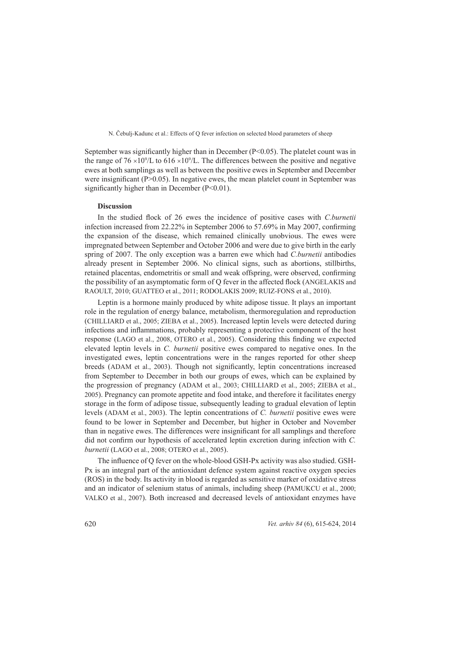September was significantly higher than in December ( $P<0.05$ ). The platelet count was in the range of  $76 \times 10^9$ /L to  $616 \times 10^9$ /L. The differences between the positive and negative ewes at both samplings as well as between the positive ewes in September and December were insignificant ( $P > 0.05$ ). In negative ewes, the mean platelet count in September was significantly higher than in December  $(P<0.01)$ .

## **Discussion iscussion**

In the studied flock of 26 ewes the incidence of positive cases with *C.burnetii* infection increased from  $22.22\%$  in September 2006 to 57.69% in May 2007, confirming the expansion of the disease, which remained clinically unobvious. The ewes were impregnated between September and October 2006 and were due to give birth in the early spring of 2007. The only exception was a barren ewe which had *C.burnetii* antibodies already present in September 2006. No clinical signs, such as abortions, stillbirths, retained placentas, endometritis or small and weak offspring, were observed, confirming the possibility of an asymptomatic form of O fever in the affected flock (ANGELAKIS and RAOULT, 2010; GUATTEO et al., 2011; RODOLAKIS 2009; RUIZ-FONS et al., 2010).

Leptin is a hormone mainly produced by white adipose tissue. It plays an important role in the regulation of energy balance, metabolism, thermoregulation and reproduction (CHILLIARD et al., 2005; ZIEBA et al., 2005). Increased leptin levels were detected during infections and inflammations, probably representing a protective component of the host response (LAGO et al., 2008, OTERO et al., 2005). Considering this finding we expected elevated leptin levels in C. *burnetii* positive ewes compared to negative ones. In the investigated ewes, leptin concentrations were in the ranges reported for other sheep breeds (ADAM et al., 2003). Though not significantly, leptin concentrations increased from September to December in both our groups of ewes, which can be explained by the progression of pregnancy (ADAM et al., 2003; CHILLIARD et al., 2005; ZIEBA et al., 2005). Pregnancy can promote appetite and food intake, and therefore it facilitates energy storage in the form of adipose tissue, subsequently leading to gradual elevation of leptin levels (ADAM et al., 2003). The leptin concentrations of C. *burnetii* positive ewes were found to be lower in September and December, but higher in October and November than in negative ewes. The differences were insignificant for all samplings and therefore did not confirm our hypothesis of accelerated leptin excretion during infection with *C*. *burnetii* (LAGO et al., 2008; OTERO et al., 2005).

The influence of Q fever on the whole-blood GSH-Px activity was also studied. GSH-Px is an integral part of the antioxidant defence system against reactive oxygen species (ROS) in the body. Its activity in blood is regarded as sensitive marker of oxidative stress and an indicator of selenium status of animals, including sheep (PAMUKCU et al., 2000; VALKO et al., 2007). Both increased and decreased levels of antioxidant enzymes have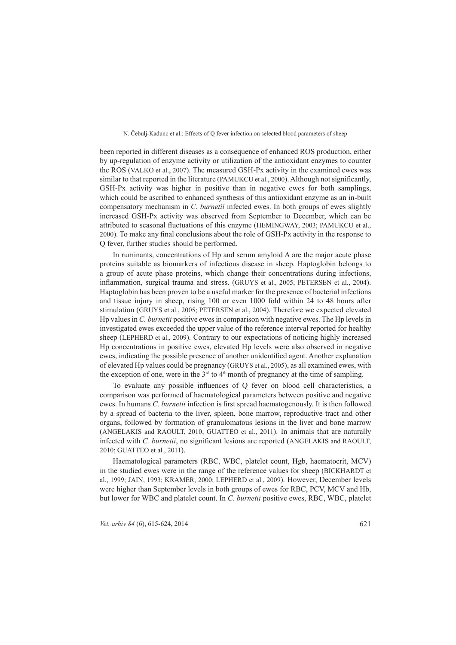been reported in different diseases as a consequence of enhanced ROS production, either by up-regulation of enzyme activity or utilization of the antioxidant enzymes to counter the ROS (VALKO et al., 2007). The measured GSH-Px activity in the examined ewes was similar to that reported in the literature (PAMUKCU et al., 2000). Although not significantly, GSH-Px activity was higher in positive than in negative ewes for both samplings, which could be ascribed to enhanced synthesis of this antioxidant enzyme as an in-built compensatory mechanism in C. *burnetii* infected ewes. In both groups of ewes slightly increased GSH-Px activity was observed from September to December, which can be attributed to seasonal fluctuations of this enzyme (HEMINGWAY, 2003; PAMUKCU et al., 2000). To make any final conclusions about the role of GSH-Px activity in the response to Q fever, further studies should be performed.

In ruminants, concentrations of Hp and serum amyloid A are the major acute phase proteins suitable as biomarkers of infectious disease in sheep. Haptoglobin belongs to a group of acute phase proteins, which change their concentrations during infections, inflammation, surgical trauma and stress. (GRUYS et al., 2005; PETERSEN et al., 2004). Haptoglobin has been proven to be a useful marker for the presence of bacterial infections and tissue injury in sheep, rising  $100$  or even  $1000$  fold within 24 to 48 hours after stimulation (GRUYS et al., 2005; PETERSEN et al., 2004). Therefore we expected elevated Hp values in *C. burnetii* positive ewes in comparison with negative ewes. The Hp levels in investigated ewes exceeded the upper value of the reference interval reported for healthy sheep (LEPHERD et al., 2009). Contrary to our expectations of noticing highly increased Hp concentrations in positive ewes, elevated Hp levels were also observed in negative ewes, indicating the possible presence of another unidentified agent. Another explanation of elevated Hp values could be pregnancy (GRUYS et al., 2005), as all examined ewes, with the exception of one, were in the  $3<sup>rd</sup>$  to  $4<sup>th</sup>$  month of pregnancy at the time of sampling.

To evaluate any possible influences of Q fever on blood cell characteristics, a comparison was performed of haematological parameters between positive and negative ewes. In humans C. *burnetii* infection is first spread haematogenously. It is then followed by a spread of bacteria to the liver, spleen, bone marrow, reproductive tract and other organs, followed by formation of granulomatous lesions in the liver and bone marrow (ANGELAKIS and RAOULT, 2010; GUATTEO et al., 2011). In animals that are naturally infected with C. burnetii, no significant lesions are reported (ANGELAKIS and RAOULT, 2010; GUATTEO et al., 2011).

Haematological parameters (RBC, WBC, platelet count, Hgb, haematocrit, MCV) in the studied ewes were in the range of the reference values for sheep (BICKHARDT et al., 1999; JAIN, 1993; KRAMER, 2000; LEPHERD et al., 2009). However, December levels were higher than September levels in both groups of ewes for RBC, PCV, MCV and Hb, but lower for WBC and platelet count. In C. *burnetii* positive ewes, RBC, WBC, platelet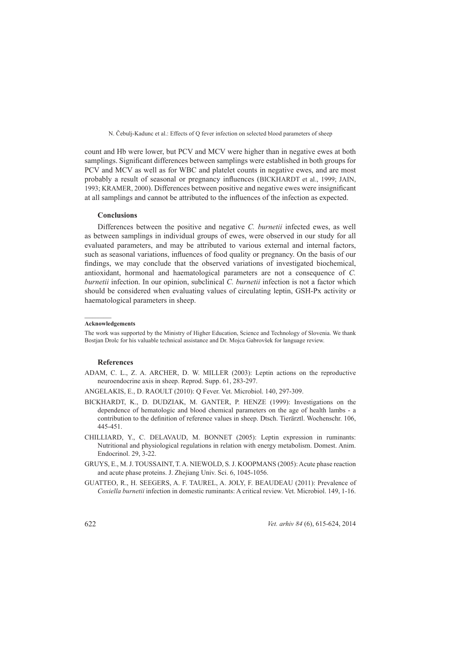count and Hb were lower, but PCV and MCV were higher than in negative ewes at both samplings. Significant differences between samplings were established in both groups for PCV and MCV as well as for WBC and platelet counts in negative ewes, and are most probably a result of seasonal or pregnancy influences (BICKHARDT et al., 1999; JAIN, 1993; KRAMER, 2000). Differences between positive and negative ewes were insignificant at all samplings and cannot be attributed to the influences of the infection as expected.

## **Conclusions onclusions**

Differences between the positive and negative *C. burnetii* infected ewes, as well as between samplings in individual groups of ewes, were observed in our study for all evaluated parameters, and may be attributed to various external and internal factors, such as seasonal variations, influences of food quality or pregnancy. On the basis of our findings, we may conclude that the observed variations of investigated biochemical, antioxidant, hormonal and haematological parameters are not a consequence of C. *burnetii* infection. In our opinion, subclinical *C. burnetii* infection is not a factor which should be considered when evaluating values of circulating leptin, GSH-Px activity or haematological parameters in sheep.

#### **Acknowledgements**

 $\mathcal{L}=\mathcal{L}$ 

The work was supported by the Ministry of Higher Education, Science and Technology of Slovenia. We thank Bostjan Drolc for his valuable technical assistance and Dr. Mojca Gabrovšek for language review.

#### **References eferences**

ADAM, C. L., Z. A. ARCHER, D. W. MILLER (2003): Leptin actions on the reproductive neuroendocrine axis in sheep. Reprod. Supp. 61, 283-297.

ANGELAKIS, E., D. RAOULT (2010): Q Fever. Vet. Microbiol. 140, 297-309.

- BICKHARDT, K., D. DUDZIAK, M. GANTER, P. HENZE (1999): Investigations on the dependence of hematologic and blood chemical parameters on the age of health lambs - a contribution to the definition of reference values in sheep. Dtsch. Tierärztl. Wochenschr. 106, 445-451.
- CHILLIARD, Y., C. DELAVAUD, M. BONNET (2005): Leptin expression in ruminants: Nutritional and physiological regulations in relation with energy metabolism. Domest. Anim. Endocrinol.  $29, 3-22$ .
- GRUYS, E., M. J. TOUSSAINT, T. A. NIEWOLD, S. J. KOOPMANS (2005): Acute phase reaction and acute phase proteins. J. Zhejiang Univ. Sci. 6, 1045-1056.
- GUATTEO, R., H. SEEGERS, A. F. TAUREL, A. JOLY, F. BEAUDEAU (2011): Prevalence of *Coxiella burnetii* infection in domestic ruminants: A critical review. Vet. Microbiol. 149, 1-16.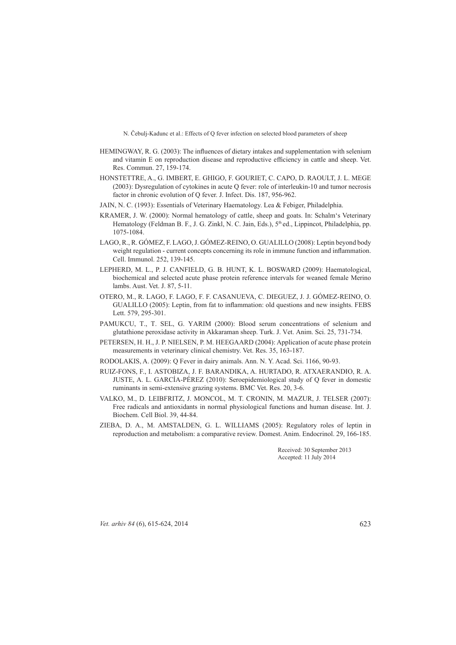- HEMINGWAY, R. G. (2003): The influences of dietary intakes and supplementation with selenium and vitamin E on reproduction disease and reproductive efficiency in cattle and sheep. Vet. Res. Commun. 27, 159-174.
- HONSTETTRE, A., G. IMBERT, E. GHIGO, F. GOURIET, C. CAPO, D. RAOULT, J. L. MEGE  $(2003)$ : Dysregulation of cytokines in acute Q fever: role of interleukin-10 and tumor necrosis factor in chronic evolution of Q fever. J. Infect. Dis. 187, 956-962.
- JAIN, N. C. (1993): Essentials of Veterinary Haematology. Lea & Febiger, Philadelphia.
- KRAMER, J. W. (2000): Normal hematology of cattle, sheep and goats. In: Schalm's Veterinary Hematology (Feldman B. F., J. G. Zinkl, N. C. Jain, Eds.), 5<sup>th</sup> ed., Lippincot, Philadelphia, pp. 1075-1084
- LAGO, R., R. GÓMEZ, F. LAGO, J. GÓMEZ-REINO, O. GUALILLO (2008): Leptin beyond body weight regulation - current concepts concerning its role in immune function and inflammation. Cell. Immunol. 252, 139-145.
- LEPHERD, M. L., P. J. CANFIELD, G. B. HUNT, K. L. BOSWARD (2009): Haematological, biochemical and selected acute phase protein reference intervals for weaned female Merino lambs. Aust. Vet. J. 87, 5-11.
- OTERO, M., R. LAGO, F. LAGO, F. F. CASANUEVA, C. DIEGUEZ, J. J. GÓMEZ-REINO, O. GUALILLO (2005): Leptin, from fat to inflammation: old questions and new insights. FEBS Lett. 579, 295-301.
- PAMUKCU, T., T. SEL, G. YARIM (2000): Blood serum concentrations of selenium and glutathione peroxidase activity in Akkaraman sheep. Turk. J. Vet. Anim. Sci. 25, 731-734.
- PETERSEN, H. H., J. P. NIELSEN, P. M. HEEGAARD (2004): Application of acute phase protein measurements in veterinary clinical chemistry. Vet. Res. 35, 163-187.
- RODOLAKIS, A. (2009): Q Fever in dairy animals. Ann. N. Y. Acad. Sci. 1166, 90-93.
- RUIZ-FONS, F., I. ASTOBIZA, J. F. BARANDIKA, A. HURTADO, R. ATXAERANDIO, R. A. JUSTE, A. L. GARCÍA-PÉREZ (2010): Seroepidemiological study of Q fever in domestic ruminants in semi-extensive grazing systems. BMC Vet. Res. 20, 3-6.
- VALKO, M., D. LEIBFRITZ, J. MONCOL, M. T. CRONIN, M. MAZUR, J. TELSER (2007): Free radicals and antioxidants in normal physiological functions and human disease. Int. J. Biochem. Cell Biol. 39, 44-84.
- ZIEBA, D. A., M. AMSTALDEN, G. L. WILLIAMS (2005): Regulatory roles of leptin in reproduction and metabolism: a comparative review. Domest. Anim. Endocrinol. 29, 166-185.

Received: 30 September 2013 Accepted: 11 July 2014